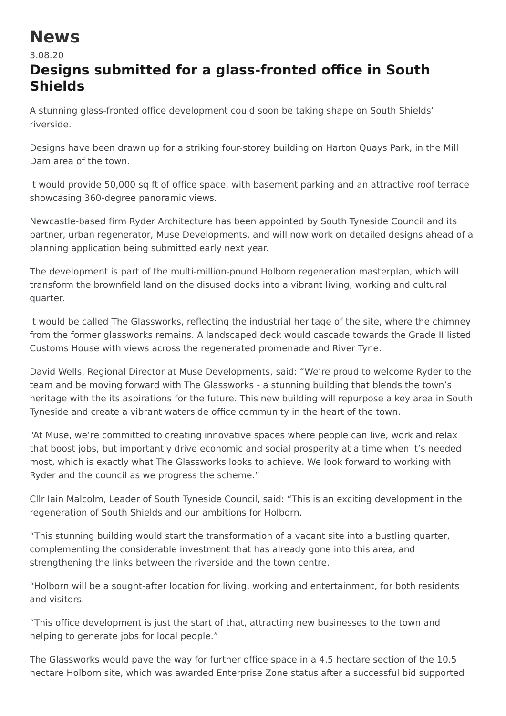## **News**

3.08.20

## **Designs submitted for a glass-fronted office in South Shields**

A stunning glass-fronted office development could soon be taking shape on South Shields' riverside.

Designs have been drawn up for a striking four-storey building on Harton Quays Park, in the Mill Dam area of the town.

It would provide 50,000 sq ft of office space, with basement parking and an attractive roof terrace showcasing 360-degree panoramic views.

Newcastle-based firm Ryder Architecture has been appointed by South Tyneside Council and its partner, urban regenerator, Muse Developments, and will now work on detailed designs ahead of a planning application being submitted early next year.

The development is part of the multi-million-pound Holborn regeneration masterplan, which will transform the brownfield land on the disused docks into a vibrant living, working and cultural quarter.

It would be called The Glassworks, reflecting the industrial heritage of the site, where the chimney from the former glassworks remains. A landscaped deck would cascade towards the Grade II listed Customs House with views across the regenerated promenade and River Tyne.

David Wells, Regional Director at Muse Developments, said: "We're proud to welcome Ryder to the team and be moving forward with The Glassworks - a stunning building that blends the town's heritage with the its aspirations for the future. This new building will repurpose a key area in South Tyneside and create a vibrant waterside office community in the heart of the town.

"At Muse, we're committed to creating innovative spaces where people can live, work and relax that boost jobs, but importantly drive economic and social prosperity at a time when it's needed most, which is exactly what The Glassworks looks to achieve. We look forward to working with Ryder and the council as we progress the scheme."

Cllr Iain Malcolm, Leader of South Tyneside Council, said: "This is an exciting development in the regeneration of South Shields and our ambitions for Holborn.

"This stunning building would start the transformation of a vacant site into a bustling quarter, complementing the considerable investment that has already gone into this area, and strengthening the links between the riverside and the town centre.

"Holborn will be a sought-after location for living, working and entertainment, for both residents and visitors.

"This office development is just the start of that, attracting new businesses to the town and helping to generate jobs for local people."

The Glassworks would pave the way for further office space in a 4.5 hectare section of the 10.5 hectare Holborn site, which was awarded Enterprise Zone status after a successful bid supported